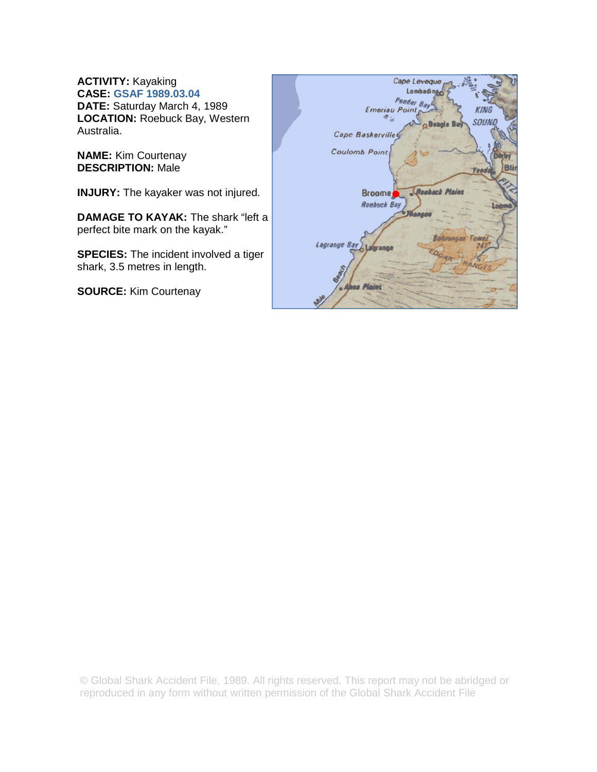**ACTIVITY:** Kayaking **CASE: GSAF 1989.03.04 DATE:** Saturday March 4, 1989 **LOCATION:** Roebuck Bay, Western Australia.

**NAME:** Kim Courtenay **DESCRIPTION:** Male

**INJURY:** The kayaker was not injured.

**DAMAGE TO KAYAK:** The shark "left a perfect bite mark on the kayak."

**SPECIES:** The incident involved a tiger shark, 3.5 metres in length.

**SOURCE:** Kim Courtenay



© Global Shark Accident File, 1989. All rights reserved. This report may not be abridged or reproduced in any form without written permission of the Global Shark Accident File